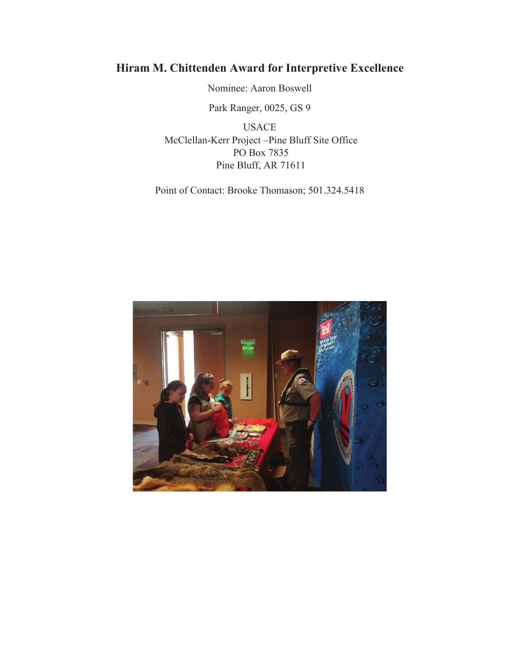# **Hiram M. Chittenden Award for Interpretive Excellence**

Nominee: Aaron Boswell

Park Ranger, 0025, GS 9

USACE McClellan-Kerr Project –Pine Bluff Site Office PO Box 7835 Pine Bluff, AR 71611

Point of Contact: Brooke Thomason; 501.324.5418

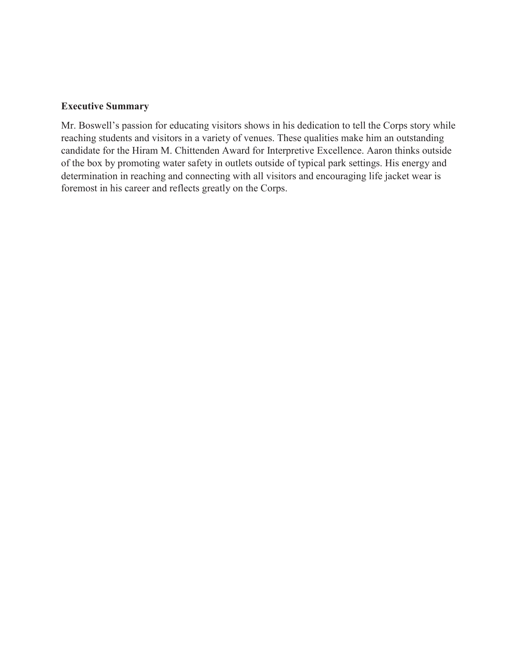### **Executive Summary**

Mr. Boswell's passion for educating visitors shows in his dedication to tell the Corps story while reaching students and visitors in a variety of venues. These qualities make him an outstanding candidate for the Hiram M. Chittenden Award for Interpretive Excellence. Aaron thinks outside of the box by promoting water safety in outlets outside of typical park settings. His energy and determination in reaching and connecting with all visitors and encouraging life jacket wear is foremost in his career and reflects greatly on the Corps.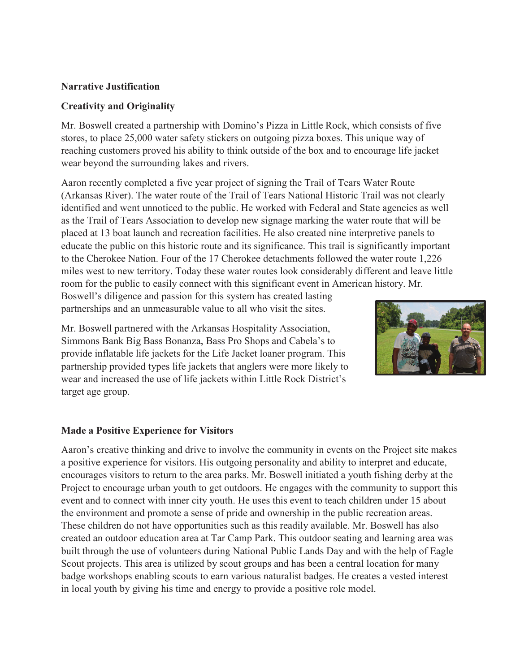# **Narrative Justification**

# **Creativity and Originality**

Mr. Boswell created a partnership with Domino's Pizza in Little Rock, which consists of five stores, to place 25,000 water safety stickers on outgoing pizza boxes. This unique way of reaching customers proved his ability to think outside of the box and to encourage life jacket wear beyond the surrounding lakes and rivers.

Aaron recently completed a five year project of signing the Trail of Tears Water Route (Arkansas River). The water route of the Trail of Tears National Historic Trail was not clearly identified and went unnoticed to the public. He worked with Federal and State agencies as well as the Trail of Tears Association to develop new signage marking the water route that will be placed at 13 boat launch and recreation facilities. He also created nine interpretive panels to educate the public on this historic route and its significance. This trail is significantly important to the Cherokee Nation. Four of the 17 Cherokee detachments followed the water route 1,226 miles west to new territory. Today these water routes look considerably different and leave little room for the public to easily connect with this significant event in American history. Mr.

Boswell's diligence and passion for this system has created lasting partnerships and an unmeasurable value to all who visit the sites.

Mr. Boswell partnered with the Arkansas Hospitality Association, Simmons Bank Big Bass Bonanza, Bass Pro Shops and Cabela's to provide inflatable life jackets for the Life Jacket loaner program. This partnership provided types life jackets that anglers were more likely to wear and increased the use of life jackets within Little Rock District's target age group.



## **Made a Positive Experience for Visitors**

Aaron's creative thinking and drive to involve the community in events on the Project site makes a positive experience for visitors. His outgoing personality and ability to interpret and educate, encourages visitors to return to the area parks. Mr. Boswell initiated a youth fishing derby at the Project to encourage urban youth to get outdoors. He engages with the community to support this event and to connect with inner city youth. He uses this event to teach children under 15 about the environment and promote a sense of pride and ownership in the public recreation areas. These children do not have opportunities such as this readily available. Mr. Boswell has also created an outdoor education area at Tar Camp Park. This outdoor seating and learning area was built through the use of volunteers during National Public Lands Day and with the help of Eagle Scout projects. This area is utilized by scout groups and has been a central location for many badge workshops enabling scouts to earn various naturalist badges. He creates a vested interest in local youth by giving his time and energy to provide a positive role model.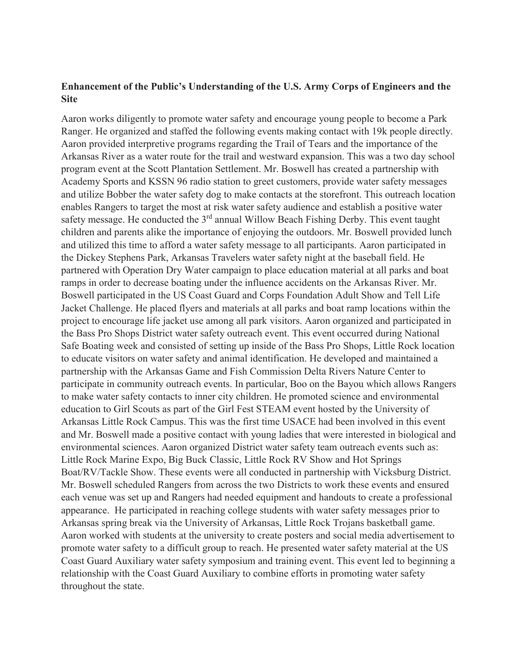# **Enhancement of the Public's Understanding of the U.S. Army Corps of Engineers and the Site**

Aaron works diligently to promote water safety and encourage young people to become a Park Ranger. He organized and staffed the following events making contact with 19k people directly. Aaron provided interpretive programs regarding the Trail of Tears and the importance of the Arkansas River as a water route for the trail and westward expansion. This was a two day school program event at the Scott Plantation Settlement. Mr. Boswell has created a partnership with Academy Sports and KSSN 96 radio station to greet customers, provide water safety messages and utilize Bobber the water safety dog to make contacts at the storefront. This outreach location enables Rangers to target the most at risk water safety audience and establish a positive water safety message. He conducted the 3<sup>rd</sup> annual Willow Beach Fishing Derby. This event taught children and parents alike the importance of enjoying the outdoors. Mr. Boswell provided lunch and utilized this time to afford a water safety message to all participants. Aaron participated in the Dickey Stephens Park, Arkansas Travelers water safety night at the baseball field. He partnered with Operation Dry Water campaign to place education material at all parks and boat ramps in order to decrease boating under the influence accidents on the Arkansas River. Mr. Boswell participated in the US Coast Guard and Corps Foundation Adult Show and Tell Life Jacket Challenge. He placed flyers and materials at all parks and boat ramp locations within the project to encourage life jacket use among all park visitors. Aaron organized and participated in the Bass Pro Shops District water safety outreach event. This event occurred during National Safe Boating week and consisted of setting up inside of the Bass Pro Shops, Little Rock location to educate visitors on water safety and animal identification. He developed and maintained a partnership with the Arkansas Game and Fish Commission Delta Rivers Nature Center to participate in community outreach events. In particular, Boo on the Bayou which allows Rangers to make water safety contacts to inner city children. He promoted science and environmental education to Girl Scouts as part of the Girl Fest STEAM event hosted by the University of Arkansas Little Rock Campus. This was the first time USACE had been involved in this event and Mr. Boswell made a positive contact with young ladies that were interested in biological and environmental sciences. Aaron organized District water safety team outreach events such as: Little Rock Marine Expo, Big Buck Classic, Little Rock RV Show and Hot Springs Boat/RV/Tackle Show. These events were all conducted in partnership with Vicksburg District. Mr. Boswell scheduled Rangers from across the two Districts to work these events and ensured each venue was set up and Rangers had needed equipment and handouts to create a professional appearance. He participated in reaching college students with water safety messages prior to Arkansas spring break via the University of Arkansas, Little Rock Trojans basketball game. Aaron worked with students at the university to create posters and social media advertisement to promote water safety to a difficult group to reach. He presented water safety material at the US Coast Guard Auxiliary water safety symposium and training event. This event led to beginning a relationship with the Coast Guard Auxiliary to combine efforts in promoting water safety throughout the state.